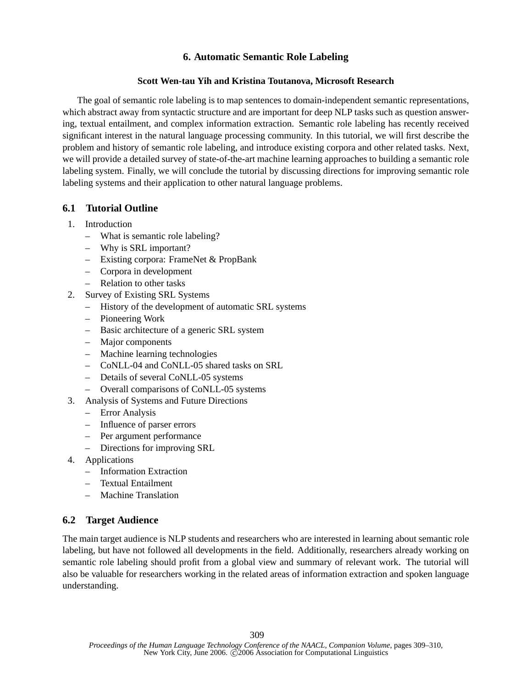## **6. Automatic Semantic Role Labeling**

## **Scott Wen-tau Yih and Kristina Toutanova, Microsoft Research**

The goal of semantic role labeling is to map sentences to domain-independent semantic representations, which abstract away from syntactic structure and are important for deep NLP tasks such as question answering, textual entailment, and complex information extraction. Semantic role labeling has recently received significant interest in the natural language processing community. In this tutorial, we will first describe the problem and history of semantic role labeling, and introduce existing corpora and other related tasks. Next, we will provide a detailed survey of state-of-the-art machine learning approaches to building a semantic role labeling system. Finally, we will conclude the tutorial by discussing directions for improving semantic role labeling systems and their application to other natural language problems.

## **6.1 Tutorial Outline**

- 1. Introduction
	- What is semantic role labeling?
	- Why is SRL important?
	- Existing corpora: FrameNet & PropBank
	- Corpora in development
	- Relation to other tasks
- 2. Survey of Existing SRL Systems
	- History of the development of automatic SRL systems
	- Pioneering Work
	- Basic architecture of a generic SRL system
	- Major components
	- Machine learning technologies
	- CoNLL-04 and CoNLL-05 shared tasks on SRL
	- Details of several CoNLL-05 systems
	- Overall comparisons of CoNLL-05 systems
- 3. Analysis of Systems and Future Directions
	- Error Analysis
	- Influence of parser errors
	- Per argument performance
	- Directions for improving SRL
- 4. Applications
	- Information Extraction
	- Textual Entailment
	- Machine Translation

## **6.2 Target Audience**

The main target audience is NLP students and researchers who are interested in learning about semantic role labeling, but have not followed all developments in the field. Additionally, researchers already working on semantic role labeling should profit from a global view and summary of relevant work. The tutorial will also be valuable for researchers working in the related areas of information extraction and spoken language understanding.